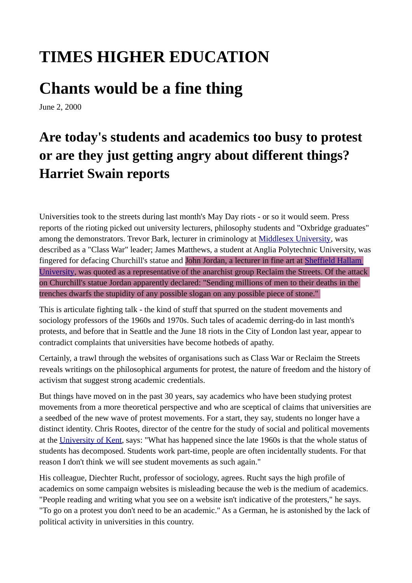## **TIMES HIGHER EDUCATION**

## **Chants would be a fine thing**

June 2, 2000

## **Are today's students and academics too busy to protest or are they just getting angry about different things? Harriet Swain reports**

Universities took to the streets during last month's May Day riots - or so it would seem. Press reports of the rioting picked out university lecturers, philosophy students and "Oxbridge graduates" among the demonstrators. Trevor Bark, lecturer in criminology at [Middlesex University](https://www.timeshighereducation.com/world-university-rankings/middlesex-university), was described as a "Class War" leader; James Matthews, a student at Anglia Polytechnic University, was fingered for defacing Churchill's statue and John Jordan, a lecturer in fine art at Sheffield Hallam [University](https://www.timeshighereducation.com/world-university-rankings/sheffield-hallam-university), was quoted as a representative of the anarchist group Reclaim the Streets. Of the attack on Churchill's statue Jordan apparently declared: "Sending millions of men to their deaths in the trenches dwarfs the stupidity of any possible slogan on any possible piece of stone."

This is articulate fighting talk - the kind of stuff that spurred on the student movements and sociology professors of the 1960s and 1970s. Such tales of academic derring-do in last month's protests, and before that in Seattle and the June 18 riots in the City of London last year, appear to contradict complaints that universities have become hotbeds of apathy.

Certainly, a trawl through the websites of organisations such as Class War or Reclaim the Streets reveals writings on the philosophical arguments for protest, the nature of freedom and the history of activism that suggest strong academic credentials.

But things have moved on in the past 30 years, say academics who have been studying protest movements from a more theoretical perspective and who are sceptical of claims that universities are a seedbed of the new wave of protest movements. For a start, they say, students no longer have a distinct identity. Chris Rootes, director of the centre for the study of social and political movements at the [University of Kent](https://www.timeshighereducation.com/world-university-rankings/university-kent), says: "What has happened since the late 1960s is that the whole status of students has decomposed. Students work part-time, people are often incidentally students. For that reason I don't think we will see student movements as such again."

His colleague, Diechter Rucht, professor of sociology, agrees. Rucht says the high profile of academics on some campaign websites is misleading because the web is the medium of academics. "People reading and writing what you see on a website isn't indicative of the protesters," he says. "To go on a protest you don't need to be an academic." As a German, he is astonished by the lack of political activity in universities in this country.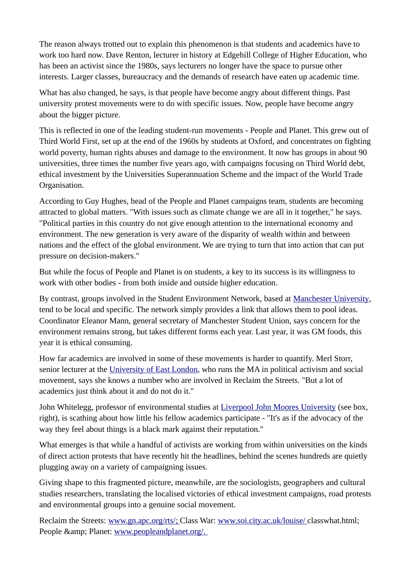The reason always trotted out to explain this phenomenon is that students and academics have to work too hard now. Dave Renton, lecturer in history at Edgehill College of Higher Education, who has been an activist since the 1980s, says lecturers no longer have the space to pursue other interests. Larger classes, bureaucracy and the demands of research have eaten up academic time.

What has also changed, he says, is that people have become angry about different things. Past university protest movements were to do with specific issues. Now, people have become angry about the bigger picture.

This is reflected in one of the leading student-run movements - People and Planet. This grew out of Third World First, set up at the end of the 1960s by students at Oxford, and concentrates on fighting world poverty, human rights abuses and damage to the environment. It now has groups in about 90 universities, three times the number five years ago, with campaigns focusing on Third World debt, ethical investment by the Universities Superannuation Scheme and the impact of the World Trade Organisation.

According to Guy Hughes, head of the People and Planet campaigns team, students are becoming attracted to global matters. "With issues such as climate change we are all in it together," he says. "Political parties in this country do not give enough attention to the international economy and environment. The new generation is very aware of the disparity of wealth within and between nations and the effect of the global environment. We are trying to turn that into action that can put pressure on decision-makers."

But while the focus of People and Planet is on students, a key to its success is its willingness to work with other bodies - from both inside and outside higher education.

By contrast, groups involved in the Student Environment Network, based at [Manchester University](https://www.timeshighereducation.com/world-university-rankings/manchester-university), tend to be local and specific. The network simply provides a link that allows them to pool ideas. Coordinator Eleanor Mann, general secretary of Manchester Student Union, says concern for the environment remains strong, but takes different forms each year. Last year, it was GM foods, this year it is ethical consuming.

How far academics are involved in some of these movements is harder to quantify. Merl Storr, senior lecturer at the [University of East London,](https://www.timeshighereducation.com/world-university-rankings/university-east-london) who runs the MA in political activism and social movement, says she knows a number who are involved in Reclaim the Streets. "But a lot of academics just think about it and do not do it."

John Whitelegg, professor of environmental studies at [Liverpool John Moores University](https://www.timeshighereducation.com/world-university-rankings/liverpool-john-moores-university) (see box, right), is scathing about how little his fellow academics participate - "It's as if the advocacy of the way they feel about things is a black mark against their reputation."

What emerges is that while a handful of activists are working from within universities on the kinds of direct action protests that have recently hit the headlines, behind the scenes hundreds are quietly plugging away on a variety of campaigning issues.

Giving shape to this fragmented picture, meanwhile, are the sociologists, geographers and cultural studies researchers, translating the localised victories of ethical investment campaigns, road protests and environmental groups into a genuine social movement.

Reclaim the Streets: [www.gn.apc.org/rts/;](http://www.gn.apc.org/rts/;) Class War: [www.soi.city.ac.uk/louise/](http://www.soi.city.ac.uk/louise/) classwhat.html; People & amp; Planet: www.peopleandplanet.org/.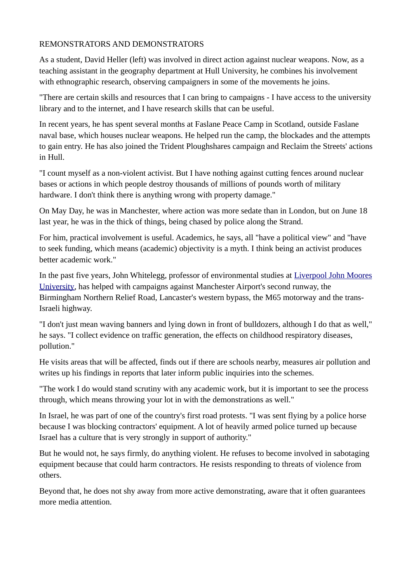## REMONSTRATORS AND DEMONSTRATORS

As a student, David Heller (left) was involved in direct action against nuclear weapons. Now, as a teaching assistant in the geography department at Hull University, he combines his involvement with ethnographic research, observing campaigners in some of the movements he joins.

"There are certain skills and resources that I can bring to campaigns - I have access to the university library and to the internet, and I have research skills that can be useful.

In recent years, he has spent several months at Faslane Peace Camp in Scotland, outside Faslane naval base, which houses nuclear weapons. He helped run the camp, the blockades and the attempts to gain entry. He has also joined the Trident Ploughshares campaign and Reclaim the Streets' actions in Hull.

"I count myself as a non-violent activist. But I have nothing against cutting fences around nuclear bases or actions in which people destroy thousands of millions of pounds worth of military hardware. I don't think there is anything wrong with property damage."

On May Day, he was in Manchester, where action was more sedate than in London, but on June 18 last year, he was in the thick of things, being chased by police along the Strand.

For him, practical involvement is useful. Academics, he says, all "have a political view" and "have to seek funding, which means (academic) objectivity is a myth. I think being an activist produces better academic work."

In the past five years, John Whitelegg, professor of environmental studies at [Liverpool John Moores](https://www.timeshighereducation.com/world-university-rankings/liverpool-john-moores-university) [University](https://www.timeshighereducation.com/world-university-rankings/liverpool-john-moores-university), has helped with campaigns against Manchester Airport's second runway, the Birmingham Northern Relief Road, Lancaster's western bypass, the M65 motorway and the trans-Israeli highway.

"I don't just mean waving banners and lying down in front of bulldozers, although I do that as well," he says. "I collect evidence on traffic generation, the effects on childhood respiratory diseases, pollution."

He visits areas that will be affected, finds out if there are schools nearby, measures air pollution and writes up his findings in reports that later inform public inquiries into the schemes.

"The work I do would stand scrutiny with any academic work, but it is important to see the process through, which means throwing your lot in with the demonstrations as well."

In Israel, he was part of one of the country's first road protests. "I was sent flying by a police horse because I was blocking contractors' equipment. A lot of heavily armed police turned up because Israel has a culture that is very strongly in support of authority."

But he would not, he says firmly, do anything violent. He refuses to become involved in sabotaging equipment because that could harm contractors. He resists responding to threats of violence from others.

Beyond that, he does not shy away from more active demonstrating, aware that it often guarantees more media attention.